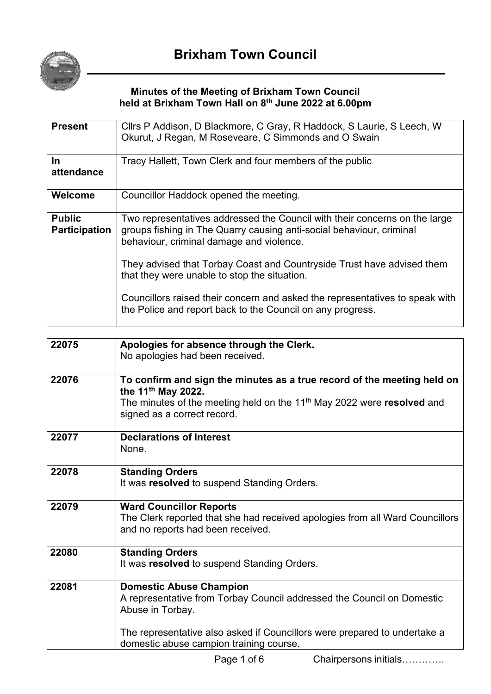

#### **Minutes of the Meeting of Brixham Town Council held at Brixham Town Hall on 8 th June 2022 at 6.00pm**

| <b>Present</b>                        | Cllrs P Addison, D Blackmore, C Gray, R Haddock, S Laurie, S Leech, W<br>Okurut, J Regan, M Roseveare, C Simmonds and O Swain                                                                  |  |
|---------------------------------------|------------------------------------------------------------------------------------------------------------------------------------------------------------------------------------------------|--|
| $\ln$<br>attendance                   | Tracy Hallett, Town Clerk and four members of the public                                                                                                                                       |  |
| Welcome                               | Councillor Haddock opened the meeting.                                                                                                                                                         |  |
| <b>Public</b><br><b>Participation</b> | Two representatives addressed the Council with their concerns on the large<br>groups fishing in The Quarry causing anti-social behaviour, criminal<br>behaviour, criminal damage and violence. |  |
|                                       | They advised that Torbay Coast and Countryside Trust have advised them<br>that they were unable to stop the situation.                                                                         |  |
|                                       | Councillors raised their concern and asked the representatives to speak with<br>the Police and report back to the Council on any progress.                                                     |  |

| 22075 | Apologies for absence through the Clerk.<br>No apologies had been received.                                                                                                                                                    |
|-------|--------------------------------------------------------------------------------------------------------------------------------------------------------------------------------------------------------------------------------|
| 22076 | To confirm and sign the minutes as a true record of the meeting held on<br>the 11 <sup>th</sup> May 2022.<br>The minutes of the meeting held on the 11 <sup>th</sup> May 2022 were resolved and<br>signed as a correct record. |
| 22077 | <b>Declarations of Interest</b><br>None                                                                                                                                                                                        |
| 22078 | <b>Standing Orders</b><br>It was resolved to suspend Standing Orders.                                                                                                                                                          |
| 22079 | <b>Ward Councillor Reports</b><br>The Clerk reported that she had received apologies from all Ward Councillors<br>and no reports had been received.                                                                            |
| 22080 | <b>Standing Orders</b><br>It was resolved to suspend Standing Orders.                                                                                                                                                          |
| 22081 | <b>Domestic Abuse Champion</b><br>A representative from Torbay Council addressed the Council on Domestic<br>Abuse in Torbay.                                                                                                   |
|       | The representative also asked if Councillors were prepared to undertake a<br>domestic abuse campion training course.                                                                                                           |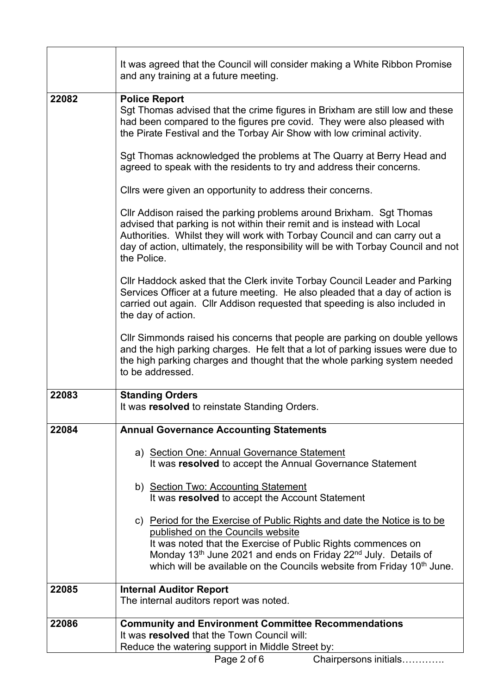|       | It was agreed that the Council will consider making a White Ribbon Promise<br>and any training at a future meeting.                                                                                                                                                                                                                                           |  |  |  |
|-------|---------------------------------------------------------------------------------------------------------------------------------------------------------------------------------------------------------------------------------------------------------------------------------------------------------------------------------------------------------------|--|--|--|
| 22082 | <b>Police Report</b><br>Sgt Thomas advised that the crime figures in Brixham are still low and these<br>had been compared to the figures pre covid. They were also pleased with<br>the Pirate Festival and the Torbay Air Show with low criminal activity.                                                                                                    |  |  |  |
|       | Sgt Thomas acknowledged the problems at The Quarry at Berry Head and<br>agreed to speak with the residents to try and address their concerns.                                                                                                                                                                                                                 |  |  |  |
|       | Clirs were given an opportunity to address their concerns.                                                                                                                                                                                                                                                                                                    |  |  |  |
|       | Cllr Addison raised the parking problems around Brixham. Sgt Thomas<br>advised that parking is not within their remit and is instead with Local<br>Authorities. Whilst they will work with Torbay Council and can carry out a<br>day of action, ultimately, the responsibility will be with Torbay Council and not<br>the Police.                             |  |  |  |
|       | CIIr Haddock asked that the Clerk invite Torbay Council Leader and Parking<br>Services Officer at a future meeting. He also pleaded that a day of action is<br>carried out again. Cllr Addison requested that speeding is also included in<br>the day of action.                                                                                              |  |  |  |
|       | Cllr Simmonds raised his concerns that people are parking on double yellows<br>and the high parking charges. He felt that a lot of parking issues were due to<br>the high parking charges and thought that the whole parking system needed<br>to be addressed.                                                                                                |  |  |  |
| 22083 | <b>Standing Orders</b><br>It was resolved to reinstate Standing Orders.                                                                                                                                                                                                                                                                                       |  |  |  |
| 22084 | <b>Annual Governance Accounting Statements</b>                                                                                                                                                                                                                                                                                                                |  |  |  |
|       | a) Section One: Annual Governance Statement<br>It was resolved to accept the Annual Governance Statement                                                                                                                                                                                                                                                      |  |  |  |
|       | b) Section Two: Accounting Statement<br>It was resolved to accept the Account Statement                                                                                                                                                                                                                                                                       |  |  |  |
|       | c) Period for the Exercise of Public Rights and date the Notice is to be<br>published on the Councils website<br>It was noted that the Exercise of Public Rights commences on<br>Monday 13 <sup>th</sup> June 2021 and ends on Friday 22 <sup>nd</sup> July. Details of<br>which will be available on the Councils website from Friday 10 <sup>th</sup> June. |  |  |  |
| 22085 | <b>Internal Auditor Report</b><br>The internal auditors report was noted.                                                                                                                                                                                                                                                                                     |  |  |  |
|       |                                                                                                                                                                                                                                                                                                                                                               |  |  |  |
| 22086 | <b>Community and Environment Committee Recommendations</b><br>It was resolved that the Town Council will:<br>Reduce the watering support in Middle Street by:                                                                                                                                                                                                 |  |  |  |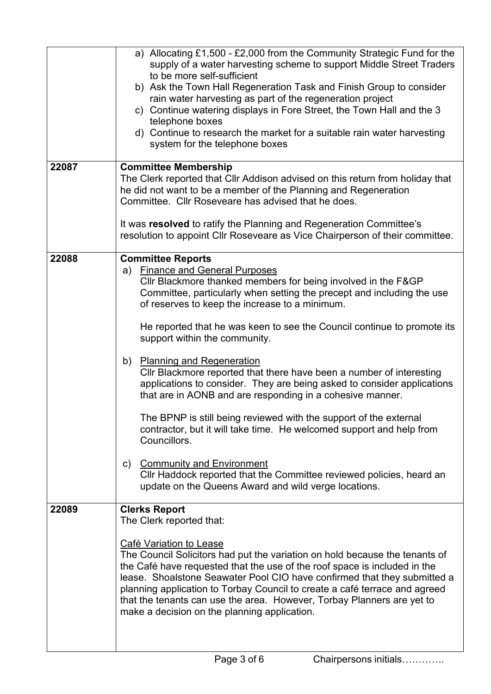|       | a) Allocating £1,500 - £2,000 from the Community Strategic Fund for the<br>supply of a water harvesting scheme to support Middle Street Traders<br>to be more self-sufficient<br>b) Ask the Town Hall Regeneration Task and Finish Group to consider<br>rain water harvesting as part of the regeneration project<br>c) Continue watering displays in Fore Street, the Town Hall and the 3<br>telephone boxes<br>d) Continue to research the market for a suitable rain water harvesting<br>system for the telephone boxes |  |
|-------|----------------------------------------------------------------------------------------------------------------------------------------------------------------------------------------------------------------------------------------------------------------------------------------------------------------------------------------------------------------------------------------------------------------------------------------------------------------------------------------------------------------------------|--|
| 22087 | <b>Committee Membership</b><br>The Clerk reported that Cllr Addison advised on this return from holiday that                                                                                                                                                                                                                                                                                                                                                                                                               |  |
|       | he did not want to be a member of the Planning and Regeneration<br>Committee. Cllr Roseveare has advised that he does.                                                                                                                                                                                                                                                                                                                                                                                                     |  |
|       | It was resolved to ratify the Planning and Regeneration Committee's<br>resolution to appoint Cllr Roseveare as Vice Chairperson of their committee.                                                                                                                                                                                                                                                                                                                                                                        |  |
| 22088 | <b>Committee Reports</b><br>a) Finance and General Purposes                                                                                                                                                                                                                                                                                                                                                                                                                                                                |  |
|       | Cllr Blackmore thanked members for being involved in the F&GP<br>Committee, particularly when setting the precept and including the use<br>of reserves to keep the increase to a minimum.                                                                                                                                                                                                                                                                                                                                  |  |
|       | He reported that he was keen to see the Council continue to promote its<br>support within the community.                                                                                                                                                                                                                                                                                                                                                                                                                   |  |
|       | b) Planning and Regeneration<br>Cllr Blackmore reported that there have been a number of interesting<br>applications to consider. They are being asked to consider applications<br>that are in AONB and are responding in a cohesive manner.                                                                                                                                                                                                                                                                               |  |
|       | The BPNP is still being reviewed with the support of the external<br>contractor, but it will take time. He welcomed support and help from<br>Councillors.                                                                                                                                                                                                                                                                                                                                                                  |  |
|       | <b>Community and Environment</b><br>c)<br>CIIr Haddock reported that the Committee reviewed policies, heard an<br>update on the Queens Award and wild verge locations.                                                                                                                                                                                                                                                                                                                                                     |  |
| 22089 | <b>Clerks Report</b><br>The Clerk reported that:                                                                                                                                                                                                                                                                                                                                                                                                                                                                           |  |
|       | Café Variation to Lease<br>The Council Solicitors had put the variation on hold because the tenants of<br>the Café have requested that the use of the roof space is included in the<br>lease. Shoalstone Seawater Pool CIO have confirmed that they submitted a<br>planning application to Torbay Council to create a café terrace and agreed<br>that the tenants can use the area. However, Torbay Planners are yet to<br>make a decision on the planning application.                                                    |  |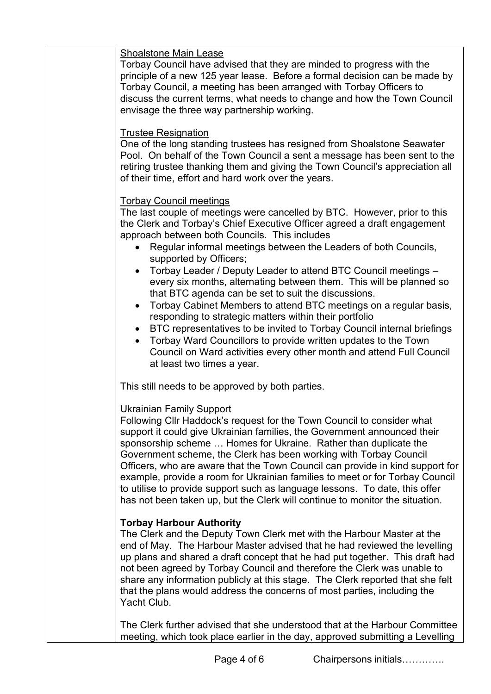# Shoalstone Main Lease

Torbay Council have advised that they are minded to progress with the principle of a new 125 year lease. Before a formal decision can be made by Torbay Council, a meeting has been arranged with Torbay Officers to discuss the current terms, what needs to change and how the Town Council envisage the three way partnership working.

### Trustee Resignation

One of the long standing trustees has resigned from Shoalstone Seawater Pool. On behalf of the Town Council a sent a message has been sent to the retiring trustee thanking them and giving the Town Council's appreciation all of their time, effort and hard work over the years.

#### Torbay Council meetings

The last couple of meetings were cancelled by BTC. However, prior to this the Clerk and Torbay's Chief Executive Officer agreed a draft engagement approach between both Councils. This includes

- Regular informal meetings between the Leaders of both Councils, supported by Officers;
- Torbay Leader / Deputy Leader to attend BTC Council meetings every six months, alternating between them. This will be planned so that BTC agenda can be set to suit the discussions.
- Torbay Cabinet Members to attend BTC meetings on a regular basis, responding to strategic matters within their portfolio
- BTC representatives to be invited to Torbay Council internal briefings
- Torbay Ward Councillors to provide written updates to the Town Council on Ward activities every other month and attend Full Council at least two times a year.

This still needs to be approved by both parties.

# Ukrainian Family Support

Following Cllr Haddock's request for the Town Council to consider what support it could give Ukrainian families, the Government announced their sponsorship scheme … Homes for Ukraine. Rather than duplicate the Government scheme, the Clerk has been working with Torbay Council Officers, who are aware that the Town Council can provide in kind support for example, provide a room for Ukrainian families to meet or for Torbay Council to utilise to provide support such as language lessons. To date, this offer has not been taken up, but the Clerk will continue to monitor the situation.

# **Torbay Harbour Authority**

The Clerk and the Deputy Town Clerk met with the Harbour Master at the end of May. The Harbour Master advised that he had reviewed the levelling up plans and shared a draft concept that he had put together. This draft had not been agreed by Torbay Council and therefore the Clerk was unable to share any information publicly at this stage. The Clerk reported that she felt that the plans would address the concerns of most parties, including the Yacht Club.

The Clerk further advised that she understood that at the Harbour Committee meeting, which took place earlier in the day, approved submitting a Levelling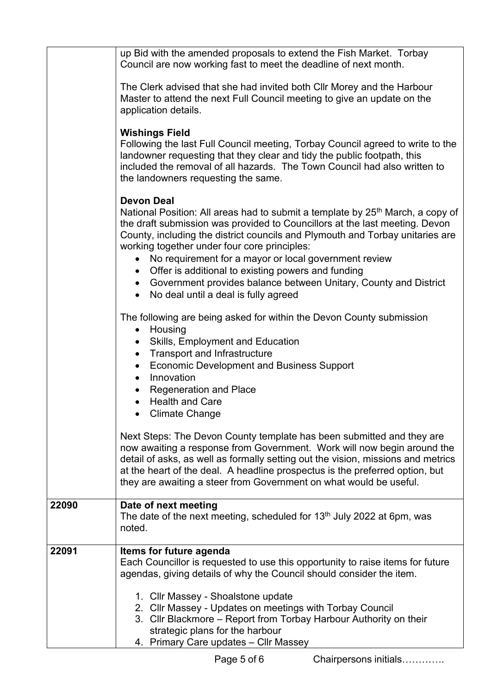|       | up Bid with the amended proposals to extend the Fish Market. Torbay<br>Council are now working fast to meet the deadline of next month.                                                                                                                                                                                                                                                                                                                                                                                                                                                |  |
|-------|----------------------------------------------------------------------------------------------------------------------------------------------------------------------------------------------------------------------------------------------------------------------------------------------------------------------------------------------------------------------------------------------------------------------------------------------------------------------------------------------------------------------------------------------------------------------------------------|--|
|       | The Clerk advised that she had invited both Cllr Morey and the Harbour<br>Master to attend the next Full Council meeting to give an update on the<br>application details.                                                                                                                                                                                                                                                                                                                                                                                                              |  |
|       | <b>Wishings Field</b><br>Following the last Full Council meeting, Torbay Council agreed to write to the<br>landowner requesting that they clear and tidy the public footpath, this<br>included the removal of all hazards. The Town Council had also written to<br>the landowners requesting the same.                                                                                                                                                                                                                                                                                 |  |
|       | <b>Devon Deal</b><br>National Position: All areas had to submit a template by 25 <sup>th</sup> March, a copy of<br>the draft submission was provided to Councillors at the last meeting. Devon<br>County, including the district councils and Plymouth and Torbay unitaries are<br>working together under four core principles:<br>No requirement for a mayor or local government review<br>$\bullet$<br>Offer is additional to existing powers and funding<br>$\bullet$<br>• Government provides balance between Unitary, County and District<br>No deal until a deal is fully agreed |  |
|       | The following are being asked for within the Devon County submission<br>Housing<br>$\bullet$<br><b>Skills, Employment and Education</b><br>$\bullet$<br><b>Transport and Infrastructure</b><br>$\bullet$<br><b>Economic Development and Business Support</b><br>Innovation<br>$\bullet$<br><b>Regeneration and Place</b><br>$\bullet$<br><b>Health and Care</b><br><b>Climate Change</b>                                                                                                                                                                                               |  |
|       | Next Steps: The Devon County template has been submitted and they are<br>now awaiting a response from Government. Work will now begin around the<br>detail of asks, as well as formally setting out the vision, missions and metrics<br>at the heart of the deal. A headline prospectus is the preferred option, but<br>they are awaiting a steer from Government on what would be useful.                                                                                                                                                                                             |  |
| 22090 | Date of next meeting<br>The date of the next meeting, scheduled for 13 <sup>th</sup> July 2022 at 6pm, was<br>noted.                                                                                                                                                                                                                                                                                                                                                                                                                                                                   |  |
| 22091 | Items for future agenda<br>Each Councillor is requested to use this opportunity to raise items for future<br>agendas, giving details of why the Council should consider the item.<br>1. Cllr Massey - Shoalstone update<br>2. Cllr Massey - Updates on meetings with Torbay Council<br>3. Cllr Blackmore - Report from Torbay Harbour Authority on their<br>strategic plans for the harbour                                                                                                                                                                                            |  |
|       | 4. Primary Care updates - Cllr Massey                                                                                                                                                                                                                                                                                                                                                                                                                                                                                                                                                  |  |